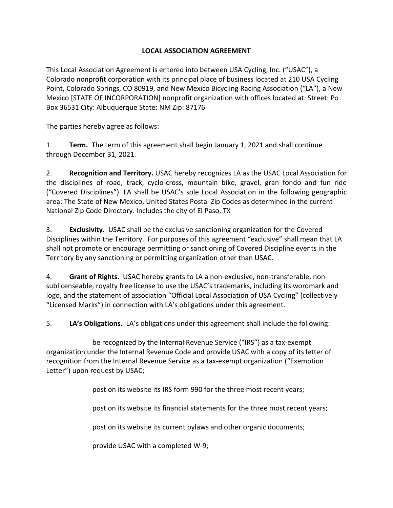## **LOCAL ASSOCIATION AGREEMENT**

This Local Association Agreement is entered into between USA Cycling, Inc. ("USAC"), a Colorado nonprofit corporation with its principal place of business located at 210 USA Cycling Point, Colorado Springs, CO 80919, and New Mexico Bicycling Racing Association ("LA"), a New Mexico [STATE OF INCORPORATION] nonprofit organization with offices located at: Street: Po Box 36531 City: Albuquerque State: NM Zip: 87176

The parties hereby agree as follows:

1. **Term.** The term of this agreement shall begin January 1, 2021 and shall continue through December 31, 2021.

2. **Recognition and Territory.** USAC hereby recognizes LA as the USAC Local Association for the disciplines of road, track, cyclo-cross, mountain bike, gravel, gran fondo and fun ride ("Covered Disciplines"). LA shall be USAC's sole Local Association in the following geographic area: The State of New Mexico, United States Postal Zip Codes as determined in the current National Zip Code Directory. Includes the city of El Paso, TX

3. **Exclusivity.** USAC shall be the exclusive sanctioning organization for the Covered Disciplines within the Territory. For purposes of this agreement "exclusive" shall mean that LA shall not promote or encourage permitting or sanctioning of Covered Discipline events in the Territory by any sanctioning or permitting organization other than USAC.

4. **Grant of Rights.** USAC hereby grants to LA a non-exclusive, non-transferable, nonsublicenseable, royalty free license to use the USAC's trademarks, including its wordmark and logo, and the statement of association "Official Local Association of USA Cycling" (collectively "Licensed Marks") in connection with LA's obligations under this agreement.

5. **LA's Obligations.** LA's obligations under this agreement shall include the following:

be recognized by the Internal Revenue Service ("IRS") as a tax-exempt organization under the Internal Revenue Code and provide USAC with a copy of its letter of recognition from the Internal Revenue Service as a tax-exempt organization ("Exemption Letter") upon request by USAC;

post on its website its IRS form 990 for the three most recent years;

post on its website its financial statements for the three most recent years;

post on its website its current bylaws and other organic documents;

provide USAC with a completed W-9;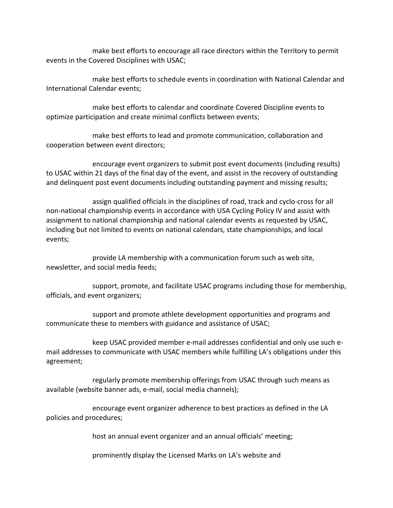make best efforts to encourage all race directors within the Territory to permit events in the Covered Disciplines with USAC;

make best efforts to schedule events in coordination with National Calendar and International Calendar events;

make best efforts to calendar and coordinate Covered Discipline events to optimize participation and create minimal conflicts between events;

make best efforts to lead and promote communication, collaboration and cooperation between event directors;

encourage event organizers to submit post event documents (including results) to USAC within 21 days of the final day of the event, and assist in the recovery of outstanding and delinquent post event documents including outstanding payment and missing results;

assign qualified officials in the disciplines of road, track and cyclo-cross for all non-national championship events in accordance with USA Cycling Policy IV and assist with assignment to national championship and national calendar events as requested by USAC, including but not limited to events on national calendars, state championships, and local events;

provide LA membership with a communication forum such as web site, newsletter, and social media feeds;

support, promote, and facilitate USAC programs including those for membership, officials, and event organizers;

support and promote athlete development opportunities and programs and communicate these to members with guidance and assistance of USAC;

keep USAC provided member e-mail addresses confidential and only use such email addresses to communicate with USAC members while fulfilling LA's obligations under this agreement;

regularly promote membership offerings from USAC through such means as available (website banner ads, e-mail, social media channels);

encourage event organizer adherence to best practices as defined in the LA policies and procedures;

host an annual event organizer and an annual officials' meeting;

prominently display the Licensed Marks on LA's website and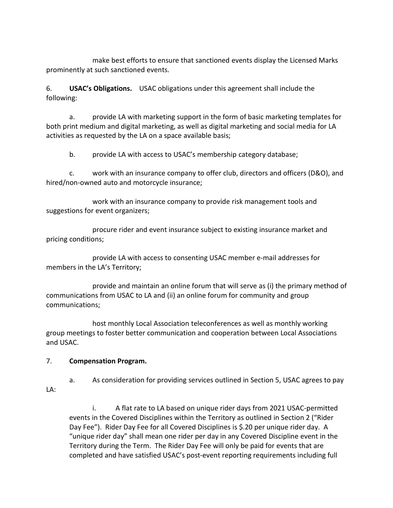make best efforts to ensure that sanctioned events display the Licensed Marks prominently at such sanctioned events.

6. **USAC's Obligations.** USAC obligations under this agreement shall include the following:

a. provide LA with marketing support in the form of basic marketing templates for both print medium and digital marketing, as well as digital marketing and social media for LA activities as requested by the LA on a space available basis;

b. provide LA with access to USAC's membership category database;

c. work with an insurance company to offer club, directors and officers (D&O), and hired/non-owned auto and motorcycle insurance;

work with an insurance company to provide risk management tools and suggestions for event organizers;

procure rider and event insurance subject to existing insurance market and pricing conditions;

provide LA with access to consenting USAC member e-mail addresses for members in the LA's Territory;

provide and maintain an online forum that will serve as (i) the primary method of communications from USAC to LA and (ii) an online forum for community and group communications;

host monthly Local Association teleconferences as well as monthly working group meetings to foster better communication and cooperation between Local Associations and USAC.

## 7. **Compensation Program.**

a. As consideration for providing services outlined in Section 5, USAC agrees to pay LA:

i. A flat rate to LA based on unique rider days from 2021 USAC-permitted events in the Covered Disciplines within the Territory as outlined in Section 2 ("Rider Day Fee"). Rider Day Fee for all Covered Disciplines is \$.20 per unique rider day. A "unique rider day" shall mean one rider per day in any Covered Discipline event in the Territory during the Term. The Rider Day Fee will only be paid for events that are completed and have satisfied USAC's post-event reporting requirements including full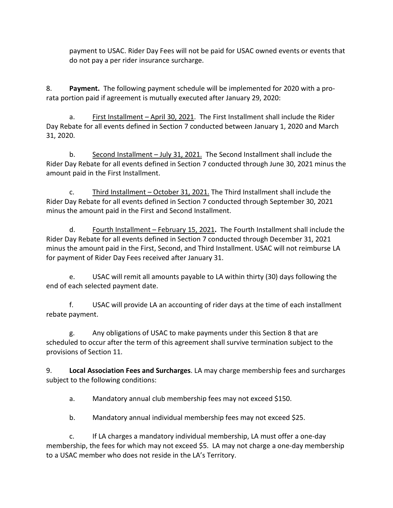payment to USAC. Rider Day Fees will not be paid for USAC owned events or events that do not pay a per rider insurance surcharge.

8. **Payment.** The following payment schedule will be implemented for 2020 with a prorata portion paid if agreement is mutually executed after January 29, 2020:

a. First Installment – April 30, 2021. The First Installment shall include the Rider Day Rebate for all events defined in Section 7 conducted between January 1, 2020 and March 31, 2020.

b. Second Installment – July 31, 2021.The Second Installment shall include the Rider Day Rebate for all events defined in Section 7 conducted through June 30, 2021 minus the amount paid in the First Installment.

c. Third Installment – October 31, 2021. The Third Installment shall include the Rider Day Rebate for all events defined in Section 7 conducted through September 30, 2021 minus the amount paid in the First and Second Installment.

d. Fourth Installment – February 15, 2021**.** The Fourth Installment shall include the Rider Day Rebate for all events defined in Section 7 conducted through December 31, 2021 minus the amount paid in the First, Second, and Third Installment. USAC will not reimburse LA for payment of Rider Day Fees received after January 31.

e. USAC will remit all amounts payable to LA within thirty (30) days following the end of each selected payment date.

f. USAC will provide LA an accounting of rider days at the time of each installment rebate payment.

g. Any obligations of USAC to make payments under this Section 8 that are scheduled to occur after the term of this agreement shall survive termination subject to the provisions of Section 11.

9. **Local Association Fees and Surcharges**. LA may charge membership fees and surcharges subject to the following conditions:

a. Mandatory annual club membership fees may not exceed \$150.

b. Mandatory annual individual membership fees may not exceed \$25.

c. If LA charges a mandatory individual membership, LA must offer a one-day membership, the fees for which may not exceed \$5. LA may not charge a one-day membership to a USAC member who does not reside in the LA's Territory.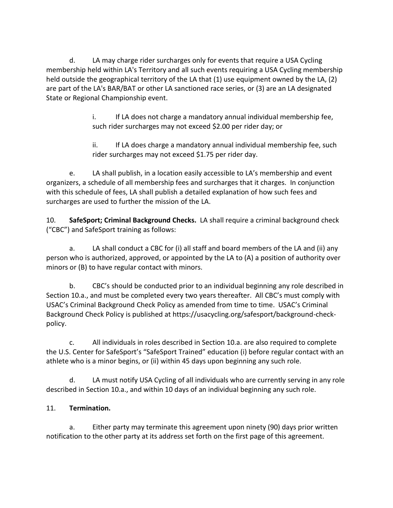d. LA may charge rider surcharges only for events that require a USA Cycling membership held within LA's Territory and all such events requiring a USA Cycling membership held outside the geographical territory of the LA that (1) use equipment owned by the LA, (2) are part of the LA's BAR/BAT or other LA sanctioned race series, or (3) are an LA designated State or Regional Championship event.

> i. If LA does not charge a mandatory annual individual membership fee, such rider surcharges may not exceed \$2.00 per rider day; or

ii. If LA does charge a mandatory annual individual membership fee, such rider surcharges may not exceed \$1.75 per rider day.

e. LA shall publish, in a location easily accessible to LA's membership and event organizers, a schedule of all membership fees and surcharges that it charges. In conjunction with this schedule of fees, LA shall publish a detailed explanation of how such fees and surcharges are used to further the mission of the LA.

10. **SafeSport; Criminal Background Checks.** LA shall require a criminal background check ("CBC") and SafeSport training as follows:

a. LA shall conduct a CBC for (i) all staff and board members of the LA and (ii) any person who is authorized, approved, or appointed by the LA to (A) a position of authority over minors or (B) to have regular contact with minors.

b. CBC's should be conducted prior to an individual beginning any role described in Section 10.a., and must be completed every two years thereafter. All CBC's must comply with USAC's Criminal Background Check Policy as amended from time to time. USAC's Criminal Background Check Policy is published at https://usacycling.org/safesport/background-checkpolicy.

c. All individuals in roles described in Section 10.a. are also required to complete the U.S. Center for SafeSport's "SafeSport Trained" education (i) before regular contact with an athlete who is a minor begins, or (ii) within 45 days upon beginning any such role.

d. LA must notify USA Cycling of all individuals who are currently serving in any role described in Section 10.a., and within 10 days of an individual beginning any such role.

## 11. **Termination.**

a. Either party may terminate this agreement upon ninety (90) days prior written notification to the other party at its address set forth on the first page of this agreement.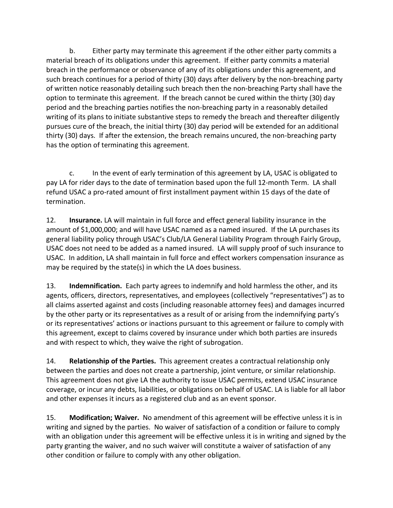b. Either party may terminate this agreement if the other either party commits a material breach of its obligations under this agreement. If either party commits a material breach in the performance or observance of any of its obligations under this agreement, and such breach continues for a period of thirty (30) days after delivery by the non-breaching party of written notice reasonably detailing such breach then the non-breaching Party shall have the option to terminate this agreement. If the breach cannot be cured within the thirty (30) day period and the breaching parties notifies the non-breaching party in a reasonably detailed writing of its plans to initiate substantive steps to remedy the breach and thereafter diligently pursues cure of the breach, the initial thirty (30) day period will be extended for an additional thirty (30) days. If after the extension, the breach remains uncured, the non-breaching party has the option of terminating this agreement.

c. In the event of early termination of this agreement by LA, USAC is obligated to pay LA for rider days to the date of termination based upon the full 12-month Term. LA shall refund USAC a pro-rated amount of first installment payment within 15 days of the date of termination.

12. **Insurance.** LA will maintain in full force and effect general liability insurance in the amount of \$1,000,000; and will have USAC named as a named insured. If the LA purchases its general liability policy through USAC's Club/LA General Liability Program through Fairly Group, USAC does not need to be added as a named insured. LA will supply proof of such insurance to USAC. In addition, LA shall maintain in full force and effect workers compensation insurance as may be required by the state(s) in which the LA does business.

13. **Indemnification.** Each party agrees to indemnify and hold harmless the other, and its agents, officers, directors, representatives, and employees (collectively "representatives") as to all claims asserted against and costs (including reasonable attorney fees) and damages incurred by the other party or its representatives as a result of or arising from the indemnifying party's or its representatives' actions or inactions pursuant to this agreement or failure to comply with this agreement, except to claims covered by insurance under which both parties are insureds and with respect to which, they waive the right of subrogation.

14. **Relationship of the Parties.** This agreement creates a contractual relationship only between the parties and does not create a partnership, joint venture, or similar relationship. This agreement does not give LA the authority to issue USAC permits, extend USAC insurance coverage, or incur any debts, liabilities, or obligations on behalf of USAC. LA is liable for all labor and other expenses it incurs as a registered club and as an event sponsor.

15. **Modification; Waiver.** No amendment of this agreement will be effective unless it is in writing and signed by the parties. No waiver of satisfaction of a condition or failure to comply with an obligation under this agreement will be effective unless it is in writing and signed by the party granting the waiver, and no such waiver will constitute a waiver of satisfaction of any other condition or failure to comply with any other obligation.